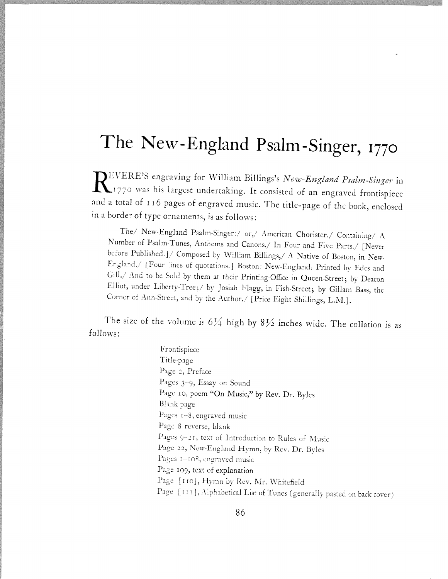## The New-England Psalm-Singer, <sup>1770</sup>

DEVERE'S engraving for William Billings's New-England Psalm-Singer in 1770 was his largest undertaking. It consisted of an engraved frontispiece and <sup>a</sup> total of <sup>116</sup> pages of engraved music. The title-page of the book, enclosed in <sup>a</sup> border of type ornaments, is as follows:

The/ New-England Psalm-Singer:/ or,/ American Chorister./ Containing/ A Number of Psalm-Tunes, Anthems and Canons./ In Four and Five Parts./ [Never before Published.]/ Composed by William Billings,/ A Native of Boston, in New-England./ [Four lines of quotations.] Boston: New-England. Printed by Edes and Gill./ And to be Sold by them at their Printing-Office in Queen-Street; by Deacon Elliot, under Liberty-Tree;? by Josiah Flagg, in Fish-Street; by Gillam Bass, the Corner of Ann-Street, and by the Author./ [Price Eight Shillings, L.M.].

The size of the volume is  $6\frac{1}{4}$  high by  $8\frac{1}{2}$  inches wide. The collation is as follows:

> Frontispiece Title-page Page 2, Preface Pages 3-9, Essay on Sound Page 10, poem "On Music," by Rev. Dr. Byles Blank page Pages  $1-8$ , engraved music Page 8 reverse, blank Pages 9-21, text of Introduction to Rules of Music Page 22, New-England Hymn, by Rev. Dr. Byles Pages  $1-108$ , engraved music Page 109, text of explanation Page [110], Hymn by Rev. Mr. Whitefield Page [III], Alphabetical List of Tunes (generally pasted on back cover)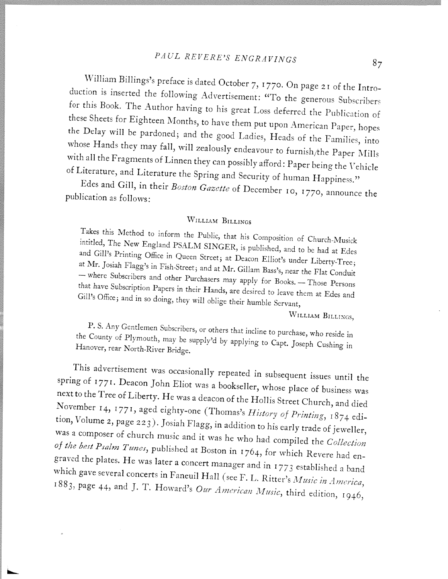## PAUL REVERE'S ENGRAVINGS 87

William Billings's preface is dated October 7, <sup>I</sup> 770. On page <sup>2</sup> <sup>r</sup> of the Intro duction is inserted the following Advertisement: "To the generous Subscribers for this Book. The Author having to his great Loss deferred the Publication of these Sheets for Eighteen Months, to have them put upon American Paper, hopes the Delay will be pardoned; and the good Ladies, Heads of the Families, into whose Hands they may fall, will zealously endeavour to furnish/the Paper Mills with all the Fragments of Linnen they can possibly afford: Paper being the Vehicle of Literature, and Literature the Spring and Security of human Happiness."

Edes and Gill, in their Boston Gazette of December 10, 1770, announce the publication as follows:

## WILLIAM BILLINGS

Takes this Method to inform the Public, that his Composition of Church-Musick intitled, The New England PSALM SINGER, is published, and to be had at Edes<br>and Gill's Printing Office in Overa St. A. D. D. Paulus was and to be had at Edes and Gill's Printing Office in Queen Street; at Deacon Elliot's under Liberty-Tree; at Mr. Josiah Flagg's in Fish-Street; and at Mr. Gillam Bass's, near the Flat Conduit<br>— where Subscribers and other Pural - where Subscribers and other Purchasers may apply for Books. - Those Persons Gill's that have Subscription Papers in their Hands, are desired to leave them at Edes and Office; and in so doing, they will oblige their humble Servant,

WILLIAM BILLINGS,

the County of Plymouth, may be supply'd by applying to Capt. Joseph Cushing in P. S. Any Gentlemen Subscribers, or others that incline to purchase, who reside in Hanover, rear North-River Bridge.

This advertisement was occasionally repeated in subsequent issues until the spring of 1771. Deacon John Eliot was a bookseller, whose place of business was November 14, 1771, aged eighty-one (Thomas's  $History$  of  $Primary$ , 1874 edinext to the Tree of Liberty. He was a deacon of the Hollis Street Church, and died tion, Volume 2, page 223). Josiah Flagg, in addition to his early trade of jeweller, was a composer of church music and it was he who had compiled the Collection graved the plates. He was later a concert manager and in 1773 established a band<br>which gave several concerts in Equation 1774 and in 1773 established a band of the best Psalm Tunes, published at Boston in 1764, for which Revere had enwhich gave several concerts in Faneuil Hall (see F. L. Ritter's Music in America, 1883, page 44, and J. T. Howard's Our American Music, third edition, 1946,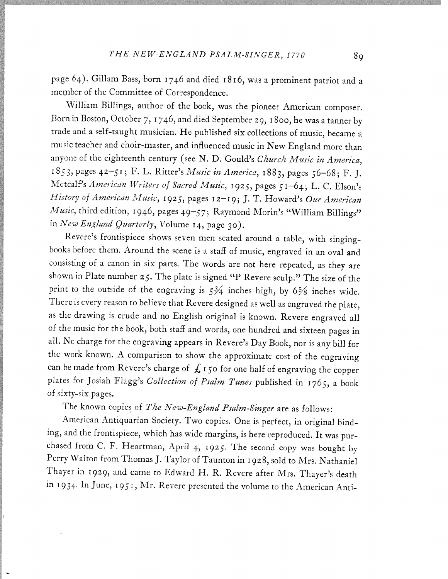page 64). Gillam Bass, born <sup>1746</sup> and died x8i6, was <sup>a</sup> prominent patriot and <sup>a</sup> member of the Committee of Correspondence.

William Billings, author of the book, was the <sup>p</sup>ioneer American composer. Born in Boston, October 7, 1746, and died September 29, <sup>I</sup> 8oo, he was <sup>a</sup> tanner by trade and <sup>a</sup> self-taught musician. He published six collections of music, became <sup>a</sup> music teacher and choir-master, and influenced music in New England more than anyone of the eighteenth century (see N. D. Gould's Church Music in America, 1853, pages 42-51; F. L. Ritter's Music in America, 1883, pages 56-68; F. J. Metcalf's American Writers of Sacred Music, 1925, pages 51—64; L. C. Elson's History of American Music, 1925, pages 12-19; J. T. Howard's Our American Music, third edition, 1946, pages 49-57; Raymond Morin's "William Billings" in New England Quarterly, Volume 14, page 30).

Revere's frontispiece shows seven men seated around <sup>a</sup> table, with singinghooks before them. Around the scene is <sup>a</sup> staff of music, engraved in an oval and consisting of <sup>a</sup> canon in six parts. The words are not here repeated, as they are shown in Plate number  $25$ . The plate is signed "P Revere sculp." The size of the print to the outside of the engraving is  $5\frac{3}{4}$  inches high, by  $6\frac{5}{8}$  inches wide. There is every reason to believe that Revere designed as well as engraved the <sup>p</sup>late, as the drawing is crude and no English original is known. Revere engraved all of the music for the book, both staff and words, one hundred and sixteen pages in all. No charge for the engraving appears in Revere's Day Book, nor is any bill for the work known. <sup>A</sup> comparison to show the approximate cost of the engraving can be made from Revere's charge of  $\mathcal L$  150 for one half of engraving the copper plates for Josiah Flagg's Collection of Psalm Tunes published in 1765, a book of sixty-six pages.

The known copies of The New-England Psalm-Singer are as follows:

American Antiquarian Society. Two copies. One is perfect, in original bind ing, and the frontispiece, which has wide margins, is here reproduced. It was pur chased from C. F. Heartman, April 4, 1925. The second copy was bought by Perry Walton from Thomas J. Taylor of Taunton in 1928, sold to Mrs. Nathaniel Thayer in 1929, and came to Edward H. R. Revere after Mrs. Thayer's death in 1934. In June, 1951, Mr. Revere presented the volume to the American Anti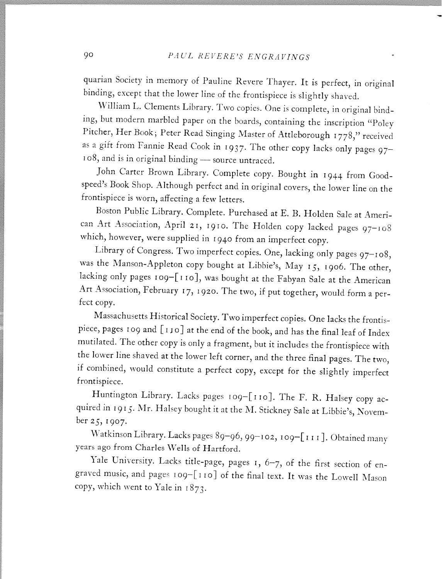quarian Society in memory of Pauline Revere Thayer. It is perfect, in original binding, except that the lower line of the frontispiece is slightly shaved.

William L. Clements Library. Two copies. One is complete, in original bind ing, but modern marbled paper on the hoards, containing the inscription "Polev Pitcher, Her Book; Peter Read Singing Master of Attleborough 1778," received as <sup>a</sup> <sup>g</sup>ift from Fannie Read Cook in 1937. The other copy lacks only pages <sup>97</sup> 108, and is in original binding - source untraced.

John Carter Brown Library. Complete copy. Bought in <sup>I</sup> <sup>944</sup> from Goodspeed's Book Shop. Although perfect and in original covers, the lower line on the frontispiece is worn, affecting <sup>a</sup> few letters.

Boston Public Library. Complete. Purchased at E. B. Holden Sale at Ameri can Art Association, April 21, 1910. The Holden copy lacked pages 97—108 which, however, were supplied in <sup>i</sup> <sup>940</sup> from an imperfect copy.

Library of Congress. Two imperfect copies. One, lacking only pages 97—108, was the Manson-Appleton copy bought at Libbie's, May 15, 1906. The other, lacking only pages 109-[110], was bought at the Fabyan Sale at the American Art Association, February 17, 1920. The two, if put together, would form a perfect copy.

Massachusetts Historical Society. Two imperfect copies. One lacks the frontis piece, pages 109 and [110] at the end of the book, and has the final leaf of Index mutilated. The other copy is only <sup>a</sup> fragment, but it includes the frontispiece with the lower line shaved at the lower left corner, and the three final pages. The two, if combined, would constitute <sup>a</sup> perfect copy, except for the slightly imperfect frontispiece.

Huntington Library. Lacks pages 109-[110]. The F. R. Halsey copy ac-Tumington Library. Lacks pages 109–[110]. The F. R. Halsey copy ac-<br>quired in 1915. Mr. Halsey bought it at the M. Stickney Sale at Libbie's, Novemher 25, 1907.

Watkinson Library. Lacks pages 89-96, 99-102, 109-[111]. Obtained many years ago from Charles Wells of Hartford.

Yale University. Lacks title-page, pages 1, 6-7, of the first section of engraved music, and pages <sup>i</sup> o9—[ II o] of the final text. It was the Lowell Mason copy, which went to Yale in 1873.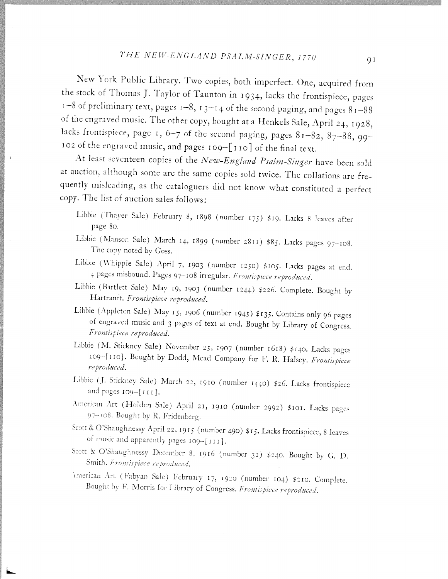## THE NEW-ENGLAND PSALM-SINGER, 1770 91

New York Public Library. Two copies, both imperfect. One, acquired from the stock of Thomas J. Taylor of Taunton in 1934, lacks the frontispiece, pages  $1-8$  of preliminary text, pages  $1-8$ ,  $13-14$  of the second paging, and pages  $81-88$ of the engraved music. The other copy, bought at a Henkels Sale, April 24, 1928, lacks frontispiece, page 1, 6-7 of the second paging, pages  $81-82$ ,  $87-88$ , 99-102 of the engraved music, and pages 109-[110] of the final text.

At least seventeen copies of the New-England Psalm-Singer have been sold at auction, although some are the same copies sold twice. The collations are frequently misleading, as the cataloguers did not know what constituted <sup>a</sup> perfect copy. The list of auction sales follows:

- Libbie (Thayer Sale) February 8, 1898 (number 175) \$19. Lacks 8 leaves after page So.
- Libbie (Manson Sale) March 14, 1899 (number 2811) \$85. Lacks pages  $97-108$ . The copy noted by Goss.
- Libbie (Whipple Sale) April 7, 1903 (number 1250) \$105. Lacks pages at end. 4 pages misbound. Pages 97-108 irregular. Frontispiece reproduced.
- Libbie (Bartlett Sale) May 19, 1903 (number 1244) \$226. Complete. Bought by Hartranft. Frontispiece reproduced.
- Libbie (Appleton Sale) May  $15$ ,  $1906$  (number 1945) \$135. Contains only 96 pages of engraved music and 3 pages of text at end. Bought by Library of Congress. Frontispiece reproduced.
- Libbie (M. Stickney Sale) November 25, <sup>1907</sup> (number i6r8) \$140. Lacks pages reproduced. 109-[110]. Bought by Dodd, Mead Company for F. R. Halsey. Frontispiece
- Libbie (J. Stickney Sale) March 22, 1910 (number 1440) \$26. Lacks frontispiece and pages  $109 - [111]$ .
- American Art (Holden Sale) April 21, 1910 (number 2992) \$101. Lacks pages 97-108. Bought by R. Fridenberg.
- Scott & O'Shaughnessy April 22, 1915 (number 490) \$15. Lacks frontispiece, 8 leaves of music and apparently pages 109-[111].
- Scott & O'Shaughnessy December 8, 1916 (number 31) \$240. Bought by G. D. Smith. Frontispiece reproduced.
- American Art (Fabyan Sale) February 17, 1920 (number 104) \$210. Complete. Bought by F. Morris for Library of Congress. Frontispiece reproduced.